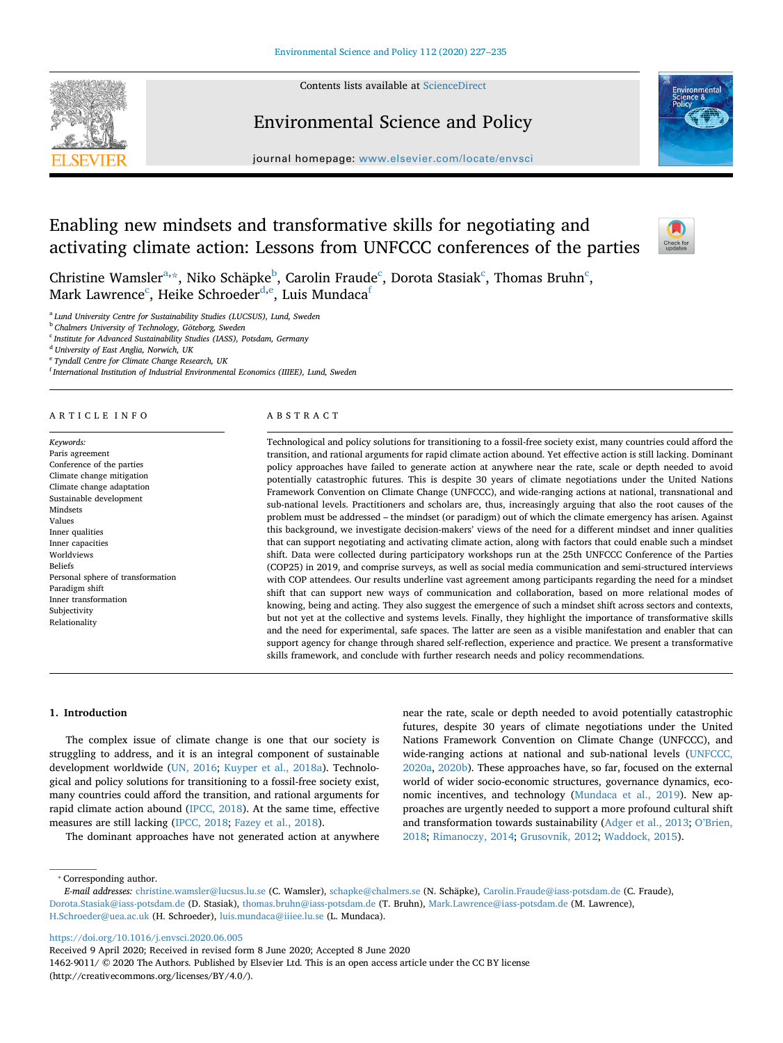Contents lists available at [ScienceDirect](http://www.sciencedirect.com/science/journal/14629011)



# Environmental Science and Policy



journal homepage: [www.elsevier.com/locate/envsci](https://www.elsevier.com/locate/envsci)

# Enabling new mindsets and transformative skills for negotiating and activating climate action: Lessons from UNFCCC conferences of the parties



Christine W[a](#page-0-0)msler $\mathrm{a}$ . $\mathrm{\ast},$  Niko S[c](#page-0-3)häpke $\mathrm{\ ^{b},}$  Carolin Fraude $\mathrm{^c,}$  Dorota Stasiak $\mathrm{\ ^c,}$  Thomas Bruhn $\mathrm{\ ^c,}$ Mark Lawrence $^{\rm c}$ , Heike Schroe[d](#page-0-4)er $^{\rm d,e}$  $^{\rm d,e}$  $^{\rm d,e}$ , Luis Mundaca $^{\rm f}$ 

<span id="page-0-0"></span><sup>a</sup> *Lund University Centre for Sustainability Studies (LUCSUS), Lund, Sweden*

<span id="page-0-2"></span><sup>b</sup> *Chalmers University of Technology, Göteborg, Sweden*

<span id="page-0-3"></span><sup>c</sup> *Institute for Advanced Sustainability Studies (IASS), Potsdam, Germany*

<span id="page-0-4"></span><sup>d</sup> *University of East Anglia, Norwich, UK*

<span id="page-0-5"></span><sup>e</sup> *Tyndall Centre for Climate Change Research, UK*

<span id="page-0-6"></span>f *International Institution of Industrial Environmental Economics (IIIEE), Lund, Sweden*

#### ARTICLE INFO

*Keywords:* Paris agreement Conference of the parties Climate change mitigation Climate change adaptation Sustainable development Mindsets Values Inner qualities Inner capacities Worldviews Beliefs Personal sphere of transformation Paradigm shift Inner transformation Subjectivity Relationality

#### ABSTRACT

Technological and policy solutions for transitioning to a fossil-free society exist, many countries could afford the transition, and rational arguments for rapid climate action abound. Yet effective action is still lacking. Dominant policy approaches have failed to generate action at anywhere near the rate, scale or depth needed to avoid potentially catastrophic futures. This is despite 30 years of climate negotiations under the United Nations Framework Convention on Climate Change (UNFCCC), and wide-ranging actions at national, transnational and sub-national levels. Practitioners and scholars are, thus, increasingly arguing that also the root causes of the problem must be addressed – the mindset (or paradigm) out of which the climate emergency has arisen. Against this background, we investigate decision-makers' views of the need for a different mindset and inner qualities that can support negotiating and activating climate action, along with factors that could enable such a mindset shift. Data were collected during participatory workshops run at the 25th UNFCCC Conference of the Parties (COP25) in 2019, and comprise surveys, as well as social media communication and semi-structured interviews with COP attendees. Our results underline vast agreement among participants regarding the need for a mindset shift that can support new ways of communication and collaboration, based on more relational modes of knowing, being and acting. They also suggest the emergence of such a mindset shift across sectors and contexts, but not yet at the collective and systems levels. Finally, they highlight the importance of transformative skills and the need for experimental, safe spaces. The latter are seen as a visible manifestation and enabler that can support agency for change through shared self-reflection, experience and practice. We present a transformative skills framework, and conclude with further research needs and policy recommendations.

## **1. Introduction**

The complex issue of climate change is one that our society is struggling to address, and it is an integral component of sustainable development worldwide [\(UN, 2016](#page-8-0); [Kuyper et al., 2018a](#page-8-1)). Technological and policy solutions for transitioning to a fossil-free society exist, many countries could afford the transition, and rational arguments for rapid climate action abound [\(IPCC, 2018](#page-8-2)). At the same time, effective measures are still lacking ([IPCC, 2018;](#page-8-2) [Fazey et al., 2018](#page-7-0)).

The dominant approaches have not generated action at anywhere

near the rate, scale or depth needed to avoid potentially catastrophic futures, despite 30 years of climate negotiations under the United Nations Framework Convention on Climate Change (UNFCCC), and wide-ranging actions at national and sub-national levels ([UNFCCC,](#page-8-3) [2020a,](#page-8-3) [2020b\)](#page-8-4). These approaches have, so far, focused on the external world of wider socio-economic structures, governance dynamics, economic incentives, and technology [\(Mundaca et al., 2019](#page-8-5)). New approaches are urgently needed to support a more profound cultural shift and transformation towards sustainability [\(Adger et al., 2013](#page-7-1); [O'Brien,](#page-8-6) [2018;](#page-8-6) [Rimanoczy, 2014](#page-8-7); [Grusovnik, 2012;](#page-7-2) [Waddock, 2015](#page-8-8)).

<span id="page-0-1"></span>⁎ Corresponding author.

<https://doi.org/10.1016/j.envsci.2020.06.005>

*E-mail addresses:* [christine.wamsler@lucsus.lu.se](mailto:christine.wamsler@lucsus.lu.se) (C. Wamsler), [schapke@chalmers.se](mailto:schapke@chalmers.se) (N. Schäpke), [Carolin.Fraude@iass-potsdam.de](mailto:Carolin.Fraude@iass-potsdam.de) (C. Fraude), [Dorota.Stasiak@iass-potsdam.de](mailto:Dorota.Stasiak@iass-potsdam.de) (D. Stasiak), [thomas.bruhn@iass-potsdam.de](mailto:thomas.bruhn@iass-potsdam.de) (T. Bruhn), [Mark.Lawrence@iass-potsdam.de](mailto:Mark.Lawrence@iass-potsdam.de) (M. Lawrence), [H.Schroeder@uea.ac.uk](mailto:H.Schroeder@uea.ac.uk) (H. Schroeder), [luis.mundaca@iiiee.lu.se](mailto:luis.mundaca@iiiee.lu.se) (L. Mundaca).

Received 9 April 2020; Received in revised form 8 June 2020; Accepted 8 June 2020

<sup>1462-9011/ © 2020</sup> The Authors. Published by Elsevier Ltd. This is an open access article under the CC BY license (http://creativecommons.org/licenses/BY/4.0/).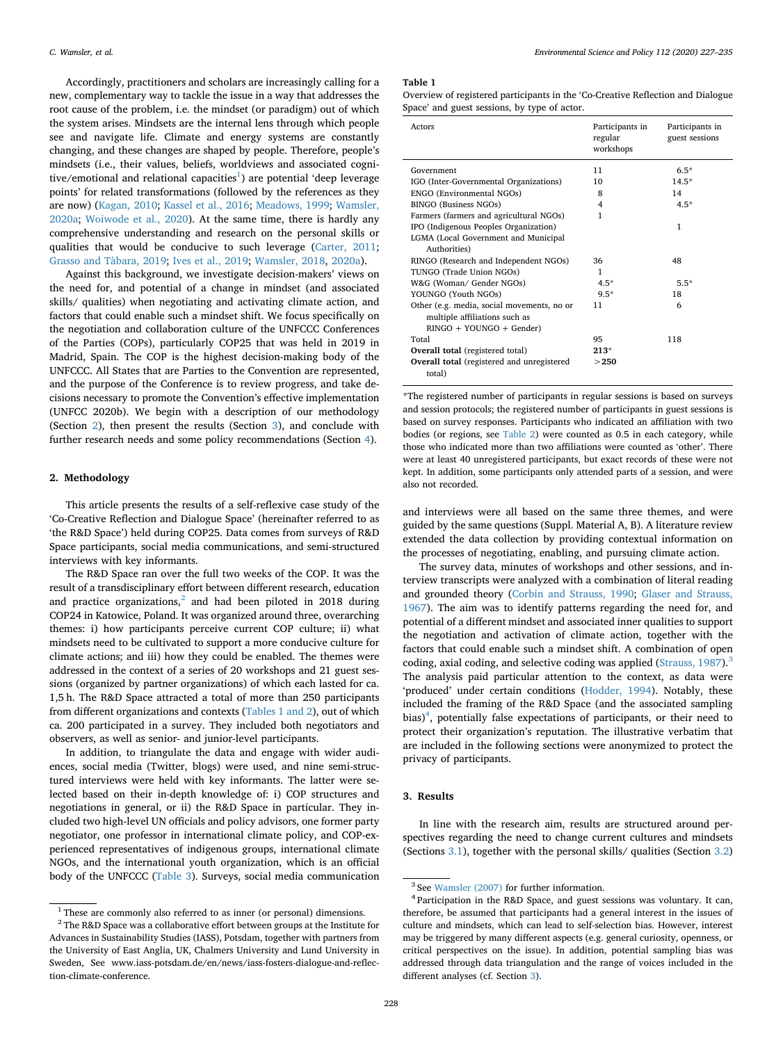Accordingly, practitioners and scholars are increasingly calling for a new, complementary way to tackle the issue in a way that addresses the root cause of the problem, i.e. the mindset (or paradigm) out of which the system arises. Mindsets are the internal lens through which people see and navigate life. Climate and energy systems are constantly changing, and these changes are shaped by people. Therefore, people's mindsets (i.e., their values, beliefs, worldviews and associated cognitive/emotional and relational capacities<sup>1</sup>) are potential 'deep leverage points' for related transformations (followed by the references as they are now) [\(Kagan, 2010;](#page-8-9) [Kassel et al., 2016;](#page-8-10) [Meadows, 1999;](#page-8-11) [Wamsler,](#page-8-12) [2020a;](#page-8-12) [Woiwode et al., 2020](#page-8-13)). At the same time, there is hardly any comprehensive understanding and research on the personal skills or qualities that would be conducive to such leverage ([Carter, 2011](#page-7-3); [Grasso and Tàbara, 2019;](#page-7-4) [Ives et al., 2019;](#page-8-14) [Wamsler, 2018](#page-8-15), [2020a](#page-8-12)).

Against this background, we investigate decision-makers' views on the need for, and potential of a change in mindset (and associated skills/ qualities) when negotiating and activating climate action, and factors that could enable such a mindset shift. We focus specifically on the negotiation and collaboration culture of the UNFCCC Conferences of the Parties (COPs), particularly COP25 that was held in 2019 in Madrid, Spain. The COP is the highest decision-making body of the UNFCCC. All States that are Parties to the Convention are represented, and the purpose of the Conference is to review progress, and take decisions necessary to promote the Convention's effective implementation (UNFCC 2020b). We begin with a description of our methodology (Section [2\)](#page-1-1), then present the results (Section [3](#page-1-2)), and conclude with further research needs and some policy recommendations (Section [4\)](#page-5-0).

# <span id="page-1-1"></span>**2. Methodology**

This article presents the results of a self-reflexive case study of the 'Co-Creative Reflection and Dialogue Space' (hereinafter referred to as 'the R&D Space') held during COP25. Data comes from surveys of R&D Space participants, social media communications, and semi-structured interviews with key informants.

The R&D Space ran over the full two weeks of the COP. It was the result of a transdisciplinary effort between different research, education and practice organizations, $^2$  $^2$  and had been piloted in 2018 during COP24 in Katowice, Poland. It was organized around three, overarching themes: i) how participants perceive current COP culture; ii) what mindsets need to be cultivated to support a more conducive culture for climate actions; and iii) how they could be enabled. The themes were addressed in the context of a series of 20 workshops and 21 guest sessions (organized by partner organizations) of which each lasted for ca. 1,5 h. The R&D Space attracted a total of more than 250 participants from different organizations and contexts [\(Tables 1 and 2\)](#page-1-4), out of which ca. 200 participated in a survey. They included both negotiators and observers, as well as senior- and junior-level participants.

In addition, to triangulate the data and engage with wider audiences, social media (Twitter, blogs) were used, and nine semi-structured interviews were held with key informants. The latter were selected based on their in-depth knowledge of: i) COP structures and negotiations in general, or ii) the R&D Space in particular. They included two high-level UN officials and policy advisors, one former party negotiator, one professor in international climate policy, and COP-experienced representatives of indigenous groups, international climate NGOs, and the international youth organization, which is an official body of the UNFCCC ([Table 3\)](#page-2-0). Surveys, social media communication

#### *C. Wamsler, et al. Environmental Science and Policy 112 (2020) 227–235*

#### <span id="page-1-4"></span>**Table 1**

Overview of registered participants in the 'Co-Creative Reflection and Dialogue Space' and guest sessions, by type of actor.

| Actors                                                                      | Participants in<br>regular<br>workshops | Participants in<br>guest sessions |
|-----------------------------------------------------------------------------|-----------------------------------------|-----------------------------------|
| Government                                                                  | 11                                      | $6.5*$                            |
| IGO (Inter-Governmental Organizations)                                      | 10                                      | $14.5*$                           |
| ENGO (Environmental NGOs)                                                   | 8                                       | 14                                |
| <b>BINGO</b> (Business NGOs)                                                | 4                                       | $4.5*$                            |
| Farmers (farmers and agricultural NGOs)                                     | 1                                       |                                   |
| IPO (Indigenous Peoples Organization)                                       |                                         | 1                                 |
| LGMA (Local Government and Municipal                                        |                                         |                                   |
| Authorities)                                                                |                                         |                                   |
| RINGO (Research and Independent NGOs)                                       | 36                                      | 48                                |
| TUNGO (Trade Union NGOs)                                                    | 1                                       |                                   |
| W&G (Woman/ Gender NGOs)                                                    | $4.5*$                                  | $5.5*$                            |
| YOUNGO (Youth NGOs)                                                         | $9.5*$                                  | 18                                |
| Other (e.g. media, social movements, no or<br>multiple affiliations such as | 11                                      | 6                                 |
| RINGO + YOUNGO + Gender)                                                    |                                         |                                   |
| Total                                                                       | 95                                      | 118                               |
| Overall total (registered total)                                            | $213*$                                  |                                   |
| Overall total (registered and unregistered<br>total)                        | >250                                    |                                   |

\*The registered number of participants in regular sessions is based on surveys and session protocols; the registered number of participants in guest sessions is based on survey responses. Participants who indicated an affiliation with two bodies (or regions, see [Table 2](#page-2-2)) were counted as 0.5 in each category, while those who indicated more than two affiliations were counted as 'other'. There were at least 40 unregistered participants, but exact records of these were not kept. In addition, some participants only attended parts of a session, and were also not recorded.

and interviews were all based on the same three themes, and were guided by the same questions (Suppl. Material A, B). A literature review extended the data collection by providing contextual information on the processes of negotiating, enabling, and pursuing climate action.

The survey data, minutes of workshops and other sessions, and interview transcripts were analyzed with a combination of literal reading and grounded theory ([Corbin and Strauss, 1990](#page-7-5); [Glaser and Strauss,](#page-7-6) [1967\)](#page-7-6). The aim was to identify patterns regarding the need for, and potential of a different mindset and associated inner qualities to support the negotiation and activation of climate action, together with the factors that could enable such a mindset shift. A combination of open coding, axial coding, and selective coding was applied ([Strauss, 1987](#page-8-16)).<sup>[3](#page-1-5)</sup> The analysis paid particular attention to the context, as data were 'produced' under certain conditions [\(Hodder, 1994\)](#page-8-17). Notably, these included the framing of the R&D Space (and the associated sampling bias)<sup>[4](#page-1-6)</sup>, potentially false expectations of participants, or their need to protect their organization's reputation. The illustrative verbatim that are included in the following sections were anonymized to protect the privacy of participants.

# <span id="page-1-2"></span>**3. Results**

In line with the research aim, results are structured around perspectives regarding the need to change current cultures and mindsets (Sections [3.1](#page-2-1)), together with the personal skills/ qualities (Section [3.2\)](#page-4-0)

<span id="page-1-0"></span> $^{\rm 1}$  These are commonly also referred to as inner (or personal) dimensions.

<span id="page-1-3"></span><sup>&</sup>lt;sup>2</sup> The R&D Space was a collaborative effort between groups at the Institute for Advances in Sustainability Studies (IASS), Potsdam, together with partners from the University of East Anglia, UK, Chalmers University and Lund University in Sweden, See www.iass-potsdam.de/en/news/iass-fosters-dialogue-and-reflection-climate-conference.

<span id="page-1-5"></span><sup>3</sup> See [Wamsler \(2007\)](#page-8-18) for further information.

<span id="page-1-6"></span><sup>4</sup> Participation in the R&D Space, and guest sessions was voluntary. It can, therefore, be assumed that participants had a general interest in the issues of culture and mindsets, which can lead to self-selection bias. However, interest may be triggered by many different aspects (e.g. general curiosity, openness, or critical perspectives on the issue). In addition, potential sampling bias was addressed through data triangulation and the range of voices included in the different analyses (cf. Section [3\)](#page-1-2).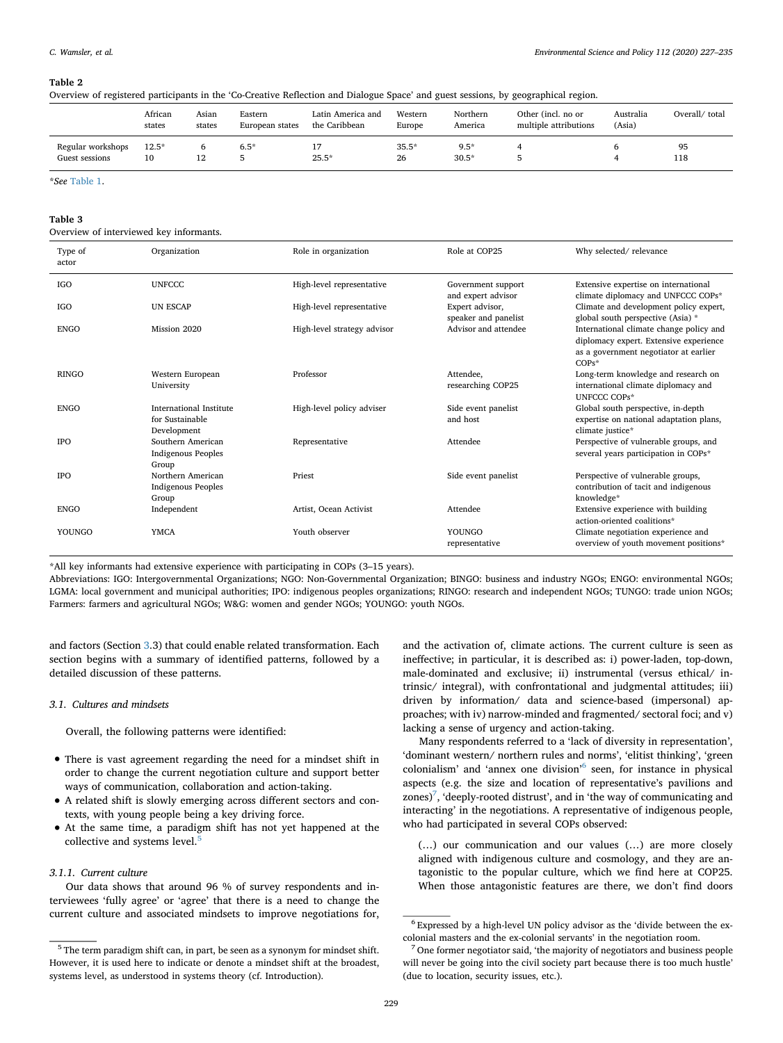#### <span id="page-2-2"></span>**Table 2**

| Overview of registered participants in the 'Co-Creative Reflection and Dialogue Space' and guest sessions, by geographical region. |  |  |  |  |  |
|------------------------------------------------------------------------------------------------------------------------------------|--|--|--|--|--|
|------------------------------------------------------------------------------------------------------------------------------------|--|--|--|--|--|

|                                     | African<br>states | Asian<br>states | Eastern<br>European states | Latin America and<br>the Caribbean | Western<br>Europe | Northern<br>America | Other (incl. no or<br>multiple attributions | Australia<br>(Asia) | Overall/total |
|-------------------------------------|-------------------|-----------------|----------------------------|------------------------------------|-------------------|---------------------|---------------------------------------------|---------------------|---------------|
| Regular workshops<br>Guest sessions | $12.5*$           | 12              | $6.5*$                     | $25.5*$                            | $35.5*$<br>26     | $9.5*$<br>$30.5*$   |                                             |                     | 95<br>118     |

\**See* [Table 1.](#page-1-4)

# <span id="page-2-0"></span>**Table 3**

Overview of interviewed key informants.

| Type of<br>actor | Organization                                              | Role in organization        | Role at COP25                            | Why selected/relevance                                                                                                                |
|------------------|-----------------------------------------------------------|-----------------------------|------------------------------------------|---------------------------------------------------------------------------------------------------------------------------------------|
| IGO              | <b>UNFCCC</b>                                             | High-level representative   | Government support<br>and expert advisor | Extensive expertise on international<br>climate diplomacy and UNFCCC COPs*                                                            |
| <b>IGO</b>       | <b>UN ESCAP</b>                                           | High-level representative   | Expert advisor,<br>speaker and panelist  | Climate and development policy expert,<br>global south perspective (Asia) *                                                           |
| <b>ENGO</b>      | Mission 2020                                              | High-level strategy advisor | Advisor and attendee                     | International climate change policy and<br>diplomacy expert. Extensive experience<br>as a government negotiator at earlier<br>$COPs*$ |
| <b>RINGO</b>     | Western European<br>University                            | Professor                   | Attendee,<br>researching COP25           | Long-term knowledge and research on<br>international climate diplomacy and<br><b>UNFCCC COPs*</b>                                     |
| <b>ENGO</b>      | International Institute<br>for Sustainable<br>Development | High-level policy adviser   | Side event panelist<br>and host          | Global south perspective, in-depth<br>expertise on national adaptation plans,<br>climate justice*                                     |
| <b>IPO</b>       | Southern American<br><b>Indigenous Peoples</b><br>Group   | Representative              | Attendee                                 | Perspective of vulnerable groups, and<br>several years participation in COPs*                                                         |
| <b>IPO</b>       | Northern American<br><b>Indigenous Peoples</b><br>Group   | Priest                      | Side event panelist                      | Perspective of vulnerable groups,<br>contribution of tacit and indigenous<br>knowledge*                                               |
| <b>ENGO</b>      | Independent                                               | Artist, Ocean Activist      | Attendee                                 | Extensive experience with building<br>action-oriented coalitions*                                                                     |
| YOUNGO           | <b>YMCA</b>                                               | Youth observer              | YOUNGO<br>representative                 | Climate negotiation experience and<br>overview of youth movement positions*                                                           |

\*All key informants had extensive experience with participating in COPs (3–15 years).

Abbreviations: IGO: Intergovernmental Organizations; NGO: Non-Governmental Organization; BINGO: business and industry NGOs; ENGO: environmental NGOs; LGMA: local government and municipal authorities; IPO: indigenous peoples organizations; RINGO: research and independent NGOs; TUNGO: trade union NGOs; Farmers: farmers and agricultural NGOs; W&G: women and gender NGOs; YOUNGO: youth NGOs.

and factors (Section [3.](#page-1-2)3) that could enable related transformation. Each section begins with a summary of identified patterns, followed by a detailed discussion of these patterns.

#### <span id="page-2-1"></span>*3.1. Cultures and mindsets*

Overall, the following patterns were identified:

- There is vast agreement regarding the need for a mindset shift in order to change the current negotiation culture and support better ways of communication, collaboration and action-taking.
- A related shift is slowly emerging across different sectors and contexts, with young people being a key driving force.
- At the same time, a paradigm shift has not yet happened at the collective and systems level.<sup>[5](#page-2-3)</sup>
- <span id="page-2-6"></span>*3.1.1. Current culture*

Our data shows that around 96 % of survey respondents and interviewees 'fully agree' or 'agree' that there is a need to change the current culture and associated mindsets to improve negotiations for, and the activation of, climate actions. The current culture is seen as ineffective; in particular, it is described as: i) power-laden, top-down, male-dominated and exclusive; ii) instrumental (versus ethical/ intrinsic/ integral), with confrontational and judgmental attitudes; iii) driven by information/ data and science-based (impersonal) approaches; with iv) narrow-minded and fragmented/ sectoral foci; and v) lacking a sense of urgency and action-taking.

Many respondents referred to a 'lack of diversity in representation', 'dominant western/ northern rules and norms', 'elitist thinking', 'green colonialism' and 'annex one division'<sup>[6](#page-2-4)</sup> seen, for instance in physical aspects (e.g. the size and location of representative's pavilions and zones) $^7$  $^7$ , 'deeply-rooted distrust', and in 'the way of communicating and interacting' in the negotiations. A representative of indigenous people, who had participated in several COPs observed:

(…) our communication and our values (…) are more closely aligned with indigenous culture and cosmology, and they are antagonistic to the popular culture, which we find here at COP25. When those antagonistic features are there, we don't find doors

<span id="page-2-3"></span> $^5$  The term paradigm shift can, in part, be seen as a synonym for mindset shift. However, it is used here to indicate or denote a mindset shift at the broadest, systems level, as understood in systems theory (cf. Introduction).

<span id="page-2-4"></span><sup>6</sup> Expressed by a high-level UN policy advisor as the 'divide between the excolonial masters and the ex-colonial servants' in the negotiation room.

<span id="page-2-5"></span> $7$  One former negotiator said, 'the majority of negotiators and business people will never be going into the civil society part because there is too much hustle' (due to location, security issues, etc.).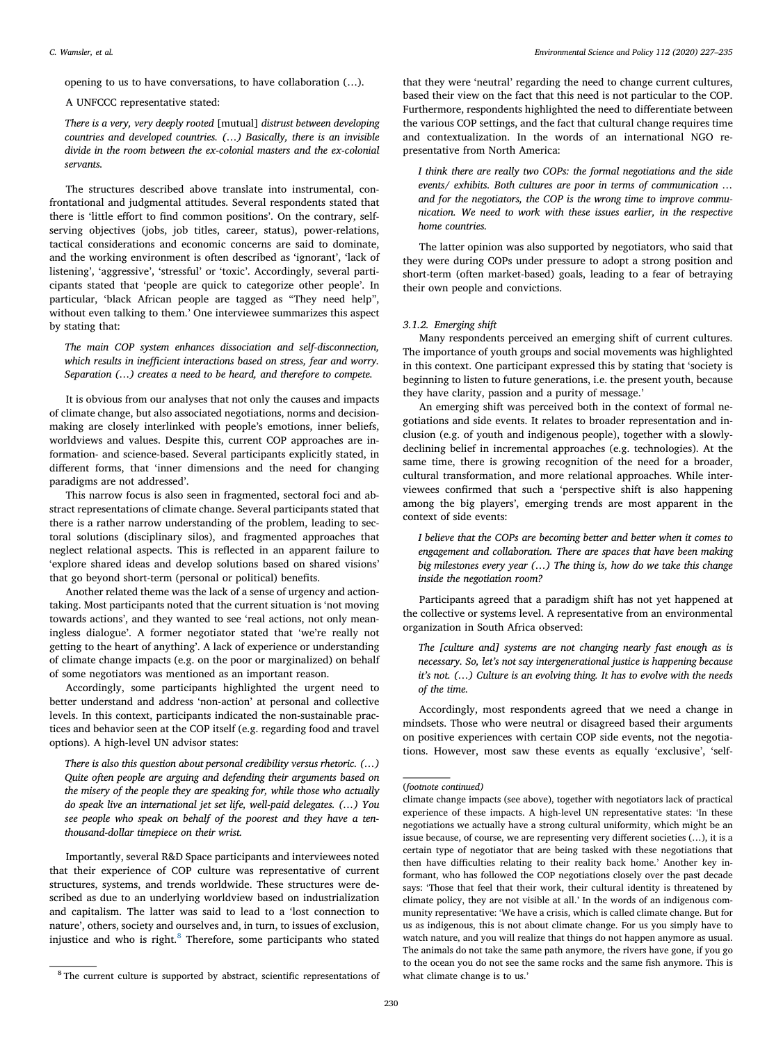opening to us to have conversations, to have collaboration (…).

A UNFCCC representative stated:

*There is a very, very deeply rooted* [mutual] *distrust between developing countries and developed countries. (…) Basically, there is an invisible divide in the room between the ex-colonial masters and the ex-colonial servants.*

The structures described above translate into instrumental, confrontational and judgmental attitudes. Several respondents stated that there is 'little effort to find common positions'. On the contrary, selfserving objectives (jobs, job titles, career, status), power-relations, tactical considerations and economic concerns are said to dominate, and the working environment is often described as 'ignorant', 'lack of listening', 'aggressive', 'stressful' or 'toxic'. Accordingly, several participants stated that 'people are quick to categorize other people'. In particular, 'black African people are tagged as "They need help", without even talking to them.' One interviewee summarizes this aspect by stating that:

*The main COP system enhances dissociation and self-disconnection, which results in inefficient interactions based on stress, fear and worry. Separation (…) creates a need to be heard, and therefore to compete.*

It is obvious from our analyses that not only the causes and impacts of climate change, but also associated negotiations, norms and decisionmaking are closely interlinked with people's emotions, inner beliefs, worldviews and values. Despite this, current COP approaches are information- and science-based. Several participants explicitly stated, in different forms, that 'inner dimensions and the need for changing paradigms are not addressed'.

This narrow focus is also seen in fragmented, sectoral foci and abstract representations of climate change. Several participants stated that there is a rather narrow understanding of the problem, leading to sectoral solutions (disciplinary silos), and fragmented approaches that neglect relational aspects. This is reflected in an apparent failure to 'explore shared ideas and develop solutions based on shared visions' that go beyond short-term (personal or political) benefits.

Another related theme was the lack of a sense of urgency and actiontaking. Most participants noted that the current situation is 'not moving towards actions', and they wanted to see 'real actions, not only meaningless dialogue'. A former negotiator stated that 'we're really not getting to the heart of anything'. A lack of experience or understanding of climate change impacts (e.g. on the poor or marginalized) on behalf of some negotiators was mentioned as an important reason.

Accordingly, some participants highlighted the urgent need to better understand and address 'non-action' at personal and collective levels. In this context, participants indicated the non-sustainable practices and behavior seen at the COP itself (e.g. regarding food and travel options). A high-level UN advisor states:

*There is also this question about personal credibility versus rhetoric. (…) Quite often people are arguing and defending their arguments based on the misery of the people they are speaking for, while those who actually do speak live an international jet set life, well-paid delegates. (…) You see people who speak on behalf of the poorest and they have a tenthousand-dollar timepiece on their wrist.*

Importantly, several R&D Space participants and interviewees noted that their experience of COP culture was representative of current structures, systems, and trends worldwide. These structures were described as due to an underlying worldview based on industrialization and capitalism. The latter was said to lead to a 'lost connection to nature', others, society and ourselves and, in turn, to issues of exclusion, injustice and who is right. $8$  Therefore, some participants who stated

that they were 'neutral' regarding the need to change current cultures, based their view on the fact that this need is not particular to the COP. Furthermore, respondents highlighted the need to differentiate between the various COP settings, and the fact that cultural change requires time and contextualization. In the words of an international NGO representative from North America:

*I think there are really two COPs: the formal negotiations and the side events/ exhibits. Both cultures are poor in terms of communication … and for the negotiators, the COP is the wrong time to improve communication. We need to work with these issues earlier, in the respective home countries.*

The latter opinion was also supported by negotiators, who said that they were during COPs under pressure to adopt a strong position and short-term (often market-based) goals, leading to a fear of betraying their own people and convictions.

# <span id="page-3-1"></span>*3.1.2. Emerging shift*

Many respondents perceived an emerging shift of current cultures. The importance of youth groups and social movements was highlighted in this context. One participant expressed this by stating that 'society is beginning to listen to future generations, i.e. the present youth, because they have clarity, passion and a purity of message.'

An emerging shift was perceived both in the context of formal negotiations and side events. It relates to broader representation and inclusion (e.g. of youth and indigenous people), together with a slowlydeclining belief in incremental approaches (e.g. technologies). At the same time, there is growing recognition of the need for a broader, cultural transformation, and more relational approaches. While interviewees confirmed that such a 'perspective shift is also happening among the big players', emerging trends are most apparent in the context of side events:

*I believe that the COPs are becoming better and better when it comes to engagement and collaboration. There are spaces that have been making big milestones every year (…) The thing is, how do we take this change inside the negotiation room?*

Participants agreed that a paradigm shift has not yet happened at the collective or systems level. A representative from an environmental organization in South Africa observed:

*The [culture and] systems are not changing nearly fast enough as is necessary. So, let's not say intergenerational justice is happening because it's not. (…) Culture is an evolving thing. It has to evolve with the needs of the time.*

Accordingly, most respondents agreed that we need a change in mindsets. Those who were neutral or disagreed based their arguments on positive experiences with certain COP side events, not the negotiations. However, most saw these events as equally 'exclusive', 'self-

## (*footnote continued)*

<span id="page-3-0"></span><sup>&</sup>lt;sup>8</sup> The current culture is supported by abstract, scientific representations of

climate change impacts (see above), together with negotiators lack of practical experience of these impacts. A high-level UN representative states: 'In these negotiations we actually have a strong cultural uniformity, which might be an issue because, of course, we are representing very different societies (…), it is a certain type of negotiator that are being tasked with these negotiations that then have difficulties relating to their reality back home.' Another key informant, who has followed the COP negotiations closely over the past decade says: 'Those that feel that their work, their cultural identity is threatened by climate policy, they are not visible at all.' In the words of an indigenous community representative: 'We have a crisis, which is called climate change. But for us as indigenous, this is not about climate change. For us you simply have to watch nature, and you will realize that things do not happen anymore as usual. The animals do not take the same path anymore, the rivers have gone, if you go to the ocean you do not see the same rocks and the same fish anymore. This is what climate change is to us.'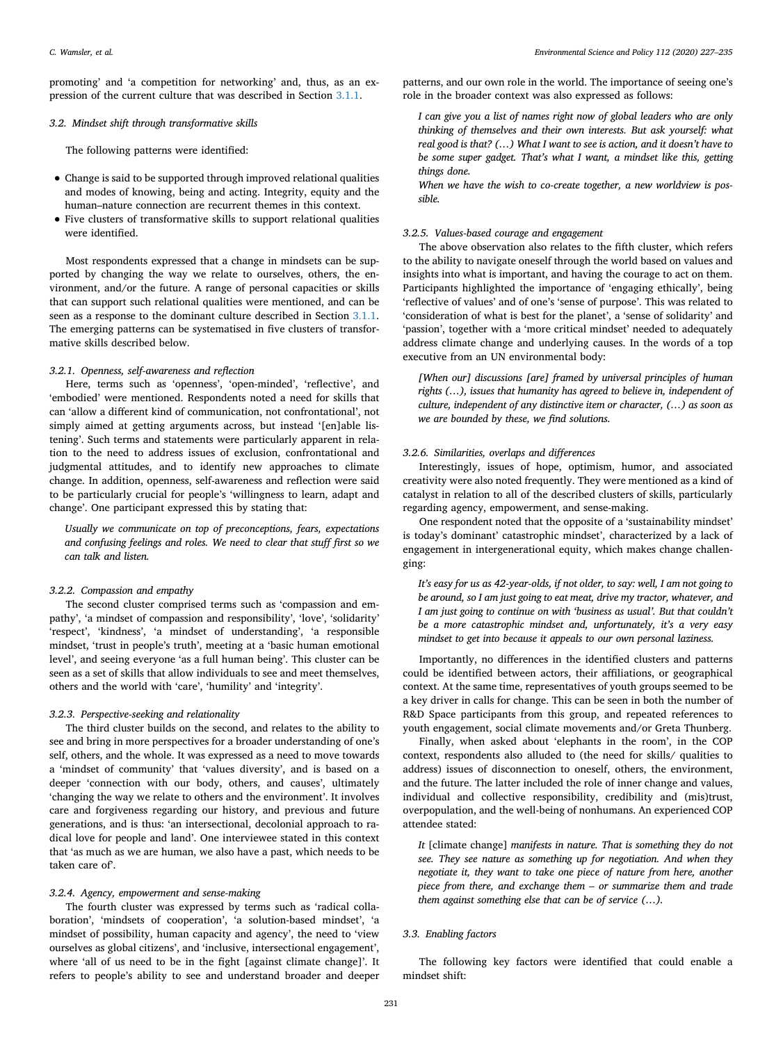promoting' and 'a competition for networking' and, thus, as an expression of the current culture that was described in Section [3.1.1.](#page-2-6)

## <span id="page-4-0"></span>*3.2. Mindset shift through transformative skills*

The following patterns were identified:

- Change is said to be supported through improved relational qualities and modes of knowing, being and acting. Integrity, equity and the human–nature connection are recurrent themes in this context.
- Five clusters of transformative skills to support relational qualities were identified.

Most respondents expressed that a change in mindsets can be supported by changing the way we relate to ourselves, others, the environment, and/or the future. A range of personal capacities or skills that can support such relational qualities were mentioned, and can be seen as a response to the dominant culture described in Section [3.1.1](#page-2-6). The emerging patterns can be systematised in five clusters of transformative skills described below.

# *3.2.1. Openness, self-awareness and reflection*

Here, terms such as 'openness', 'open-minded', 'reflective', and 'embodied' were mentioned. Respondents noted a need for skills that can 'allow a different kind of communication, not confrontational', not simply aimed at getting arguments across, but instead '[en]able listening'. Such terms and statements were particularly apparent in relation to the need to address issues of exclusion, confrontational and judgmental attitudes, and to identify new approaches to climate change. In addition, openness, self-awareness and reflection were said to be particularly crucial for people's 'willingness to learn, adapt and change'. One participant expressed this by stating that:

*Usually we communicate on top of preconceptions, fears, expectations and confusing feelings and roles. We need to clear that stuff first so we can talk and listen.*

## *3.2.2. Compassion and empathy*

The second cluster comprised terms such as 'compassion and empathy', 'a mindset of compassion and responsibility', 'love', 'solidarity' 'respect', 'kindness', 'a mindset of understanding', 'a responsible mindset, 'trust in people's truth', meeting at a 'basic human emotional level', and seeing everyone 'as a full human being'. This cluster can be seen as a set of skills that allow individuals to see and meet themselves, others and the world with 'care', 'humility' and 'integrity'.

#### *3.2.3. Perspective-seeking and relationality*

The third cluster builds on the second, and relates to the ability to see and bring in more perspectives for a broader understanding of one's self, others, and the whole. It was expressed as a need to move towards a 'mindset of community' that 'values diversity', and is based on a deeper 'connection with our body, others, and causes', ultimately 'changing the way we relate to others and the environment'. It involves care and forgiveness regarding our history, and previous and future generations, and is thus: 'an intersectional, decolonial approach to radical love for people and land'. One interviewee stated in this context that 'as much as we are human, we also have a past, which needs to be taken care of'.

# *3.2.4. Agency, empowerment and sense-making*

The fourth cluster was expressed by terms such as 'radical collaboration', 'mindsets of cooperation', 'a solution-based mindset', 'a mindset of possibility, human capacity and agency', the need to 'view ourselves as global citizens', and 'inclusive, intersectional engagement', where 'all of us need to be in the fight [against climate change]'. It refers to people's ability to see and understand broader and deeper

patterns, and our own role in the world. The importance of seeing one's role in the broader context was also expressed as follows:

*I can give you a list of names right now of global leaders who are only thinking of themselves and their own interests. But ask yourself: what real good is that? (…) What I want to see is action, and it doesn't have to be some super gadget. That's what I want, a mindset like this, getting things done.*

*When we have the wish to co-create together, a new worldview is possible.*

# *3.2.5. Values-based courage and engagement*

The above observation also relates to the fifth cluster, which refers to the ability to navigate oneself through the world based on values and insights into what is important, and having the courage to act on them. Participants highlighted the importance of 'engaging ethically', being 'reflective of values' and of one's 'sense of purpose'. This was related to 'consideration of what is best for the planet', a 'sense of solidarity' and 'passion', together with a 'more critical mindset' needed to adequately address climate change and underlying causes. In the words of a top executive from an UN environmental body:

*[When our] discussions [are] framed by universal principles of human rights (…), issues that humanity has agreed to believe in, independent of culture, independent of any distinctive item or character, (…) as soon as we are bounded by these, we find solutions.*

# *3.2.6. Similarities, overlaps and differences*

Interestingly, issues of hope, optimism, humor, and associated creativity were also noted frequently. They were mentioned as a kind of catalyst in relation to all of the described clusters of skills, particularly regarding agency, empowerment, and sense-making.

One respondent noted that the opposite of a 'sustainability mindset' is today's dominant' catastrophic mindset', characterized by a lack of engagement in intergenerational equity, which makes change challenging:

*It's easy for us as 42-year-olds, if not older, to say: well, I am not going to be around, so I am just going to eat meat, drive my tractor, whatever, and I am just going to continue on with 'business as usual'. But that couldn't be a more catastrophic mindset and, unfortunately, it's a very easy mindset to get into because it appeals to our own personal laziness.*

Importantly, no differences in the identified clusters and patterns could be identified between actors, their affiliations, or geographical context. At the same time, representatives of youth groups seemed to be a key driver in calls for change. This can be seen in both the number of R&D Space participants from this group, and repeated references to youth engagement, social climate movements and/or Greta Thunberg.

Finally, when asked about 'elephants in the room', in the COP context, respondents also alluded to (the need for skills/ qualities to address) issues of disconnection to oneself, others, the environment, and the future. The latter included the role of inner change and values, individual and collective responsibility, credibility and (mis)trust, overpopulation, and the well-being of nonhumans. An experienced COP attendee stated:

*It* [climate change] *manifests in nature. That is something they do not see. They see nature as something up for negotiation. And when they negotiate it, they want to take one piece of nature from here, another piece from there, and exchange them – or summarize them and trade them against something else that can be of service (…).*

#### *3.3. Enabling factors*

The following key factors were identified that could enable a mindset shift: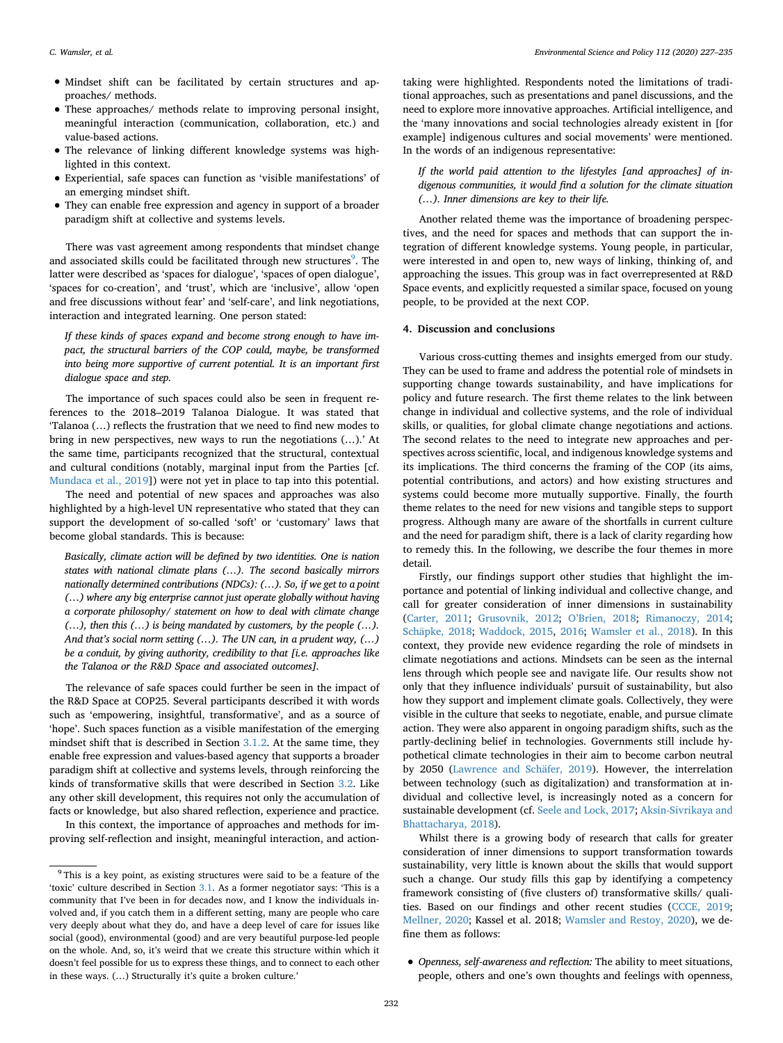- Mindset shift can be facilitated by certain structures and approaches/ methods.
- These approaches/ methods relate to improving personal insight, meaningful interaction (communication, collaboration, etc.) and value-based actions.
- The relevance of linking different knowledge systems was highlighted in this context.
- Experiential, safe spaces can function as 'visible manifestations' of an emerging mindset shift.
- They can enable free expression and agency in support of a broader paradigm shift at collective and systems levels.

There was vast agreement among respondents that mindset change and associated skills could be facilitated through new structures<sup>[9](#page-5-1)</sup>. The latter were described as 'spaces for dialogue', 'spaces of open dialogue', 'spaces for co-creation', and 'trust', which are 'inclusive', allow 'open and free discussions without fear' and 'self-care', and link negotiations, interaction and integrated learning. One person stated:

*If these kinds of spaces expand and become strong enough to have impact, the structural barriers of the COP could, maybe, be transformed into being more supportive of current potential. It is an important first dialogue space and step.*

The importance of such spaces could also be seen in frequent references to the 2018–2019 Talanoa Dialogue. It was stated that 'Talanoa (…) reflects the frustration that we need to find new modes to bring in new perspectives, new ways to run the negotiations (…).' At the same time, participants recognized that the structural, contextual and cultural conditions (notably, marginal input from the Parties [cf. [Mundaca et al., 2019](#page-8-5)]) were not yet in place to tap into this potential.

The need and potential of new spaces and approaches was also highlighted by a high-level UN representative who stated that they can support the development of so-called 'soft' or 'customary' laws that become global standards. This is because:

*Basically, climate action will be defined by two identities. One is nation states with national climate plans (…). The second basically mirrors nationally determined contributions (NDCs): (…). So, if we get to a point (…) where any big enterprise cannot just operate globally without having a corporate philosophy/ statement on how to deal with climate change (…), then this (…) is being mandated by customers, by the people (…). And that's social norm setting (…). The UN can, in a prudent way, (…) be a conduit, by giving authority, credibility to that [i.e. approaches like the Talanoa or the R&D Space and associated outcomes].*

The relevance of safe spaces could further be seen in the impact of the R&D Space at COP25. Several participants described it with words such as 'empowering, insightful, transformative', and as a source of 'hope'. Such spaces function as a visible manifestation of the emerging mindset shift that is described in Section [3.1.2.](#page-3-1) At the same time, they enable free expression and values-based agency that supports a broader paradigm shift at collective and systems levels, through reinforcing the kinds of transformative skills that were described in Section [3.2.](#page-4-0) Like any other skill development, this requires not only the accumulation of facts or knowledge, but also shared reflection, experience and practice.

In this context, the importance of approaches and methods for improving self-reflection and insight, meaningful interaction, and actiontaking were highlighted. Respondents noted the limitations of traditional approaches, such as presentations and panel discussions, and the need to explore more innovative approaches. Artificial intelligence, and the 'many innovations and social technologies already existent in [for example] indigenous cultures and social movements' were mentioned. In the words of an indigenous representative:

*If the world paid attention to the lifestyles [and approaches] of indigenous communities, it would find a solution for the climate situation (…). Inner dimensions are key to their life.*

Another related theme was the importance of broadening perspectives, and the need for spaces and methods that can support the integration of different knowledge systems. Young people, in particular, were interested in and open to, new ways of linking, thinking of, and approaching the issues. This group was in fact overrepresented at R&D Space events, and explicitly requested a similar space, focused on young people, to be provided at the next COP.

#### <span id="page-5-0"></span>**4. Discussion and conclusions**

Various cross-cutting themes and insights emerged from our study. They can be used to frame and address the potential role of mindsets in supporting change towards sustainability, and have implications for policy and future research. The first theme relates to the link between change in individual and collective systems, and the role of individual skills, or qualities, for global climate change negotiations and actions. The second relates to the need to integrate new approaches and perspectives across scientific, local, and indigenous knowledge systems and its implications. The third concerns the framing of the COP (its aims, potential contributions, and actors) and how existing structures and systems could become more mutually supportive. Finally, the fourth theme relates to the need for new visions and tangible steps to support progress. Although many are aware of the shortfalls in current culture and the need for paradigm shift, there is a lack of clarity regarding how to remedy this. In the following, we describe the four themes in more detail.

Firstly, our findings support other studies that highlight the importance and potential of linking individual and collective change, and call for greater consideration of inner dimensions in sustainability ([Carter, 2011;](#page-7-3) [Grusovnik, 2012](#page-7-2); [O'Brien, 2018](#page-8-6); [Rimanoczy, 2014](#page-8-7); [Schäpke, 2018](#page-8-19); [Waddock, 2015,](#page-8-8) [2016](#page-8-20); [Wamsler et al., 2018\)](#page-8-21). In this context, they provide new evidence regarding the role of mindsets in climate negotiations and actions. Mindsets can be seen as the internal lens through which people see and navigate life. Our results show not only that they influence individuals' pursuit of sustainability, but also how they support and implement climate goals. Collectively, they were visible in the culture that seeks to negotiate, enable, and pursue climate action. They were also apparent in ongoing paradigm shifts, such as the partly-declining belief in technologies. Governments still include hypothetical climate technologies in their aim to become carbon neutral by 2050 ([Lawrence and Schäfer, 2019\)](#page-8-22). However, the interrelation between technology (such as digitalization) and transformation at individual and collective level, is increasingly noted as a concern for sustainable development (cf. [Seele and Lock, 2017](#page-8-23); [Aksin-Sivrikaya and](#page-7-7) [Bhattacharya, 2018](#page-7-7)).

Whilst there is a growing body of research that calls for greater consideration of inner dimensions to support transformation towards sustainability, very little is known about the skills that would support such a change. Our study fills this gap by identifying a competency framework consisting of (five clusters of) transformative skills/ qualities. Based on our findings and other recent studies [\(CCCE, 2019](#page-7-8); [Mellner, 2020;](#page-8-24) Kassel et al. 2018; [Wamsler and Restoy, 2020\)](#page-8-25), we define them as follows:

• *Openness, self-awareness and reflection:* The ability to meet situations, people, others and one's own thoughts and feelings with openness,

<span id="page-5-1"></span><sup>9</sup> This is a key point, as existing structures were said to be a feature of the 'toxic' culture described in Section [3.1.](#page-2-1) As a former negotiator says: 'This is a community that I've been in for decades now, and I know the individuals involved and, if you catch them in a different setting, many are people who care very deeply about what they do, and have a deep level of care for issues like social (good), environmental (good) and are very beautiful purpose-led people on the whole. And, so, it's weird that we create this structure within which it doesn't feel possible for us to express these things, and to connect to each other in these ways. (…) Structurally it's quite a broken culture.'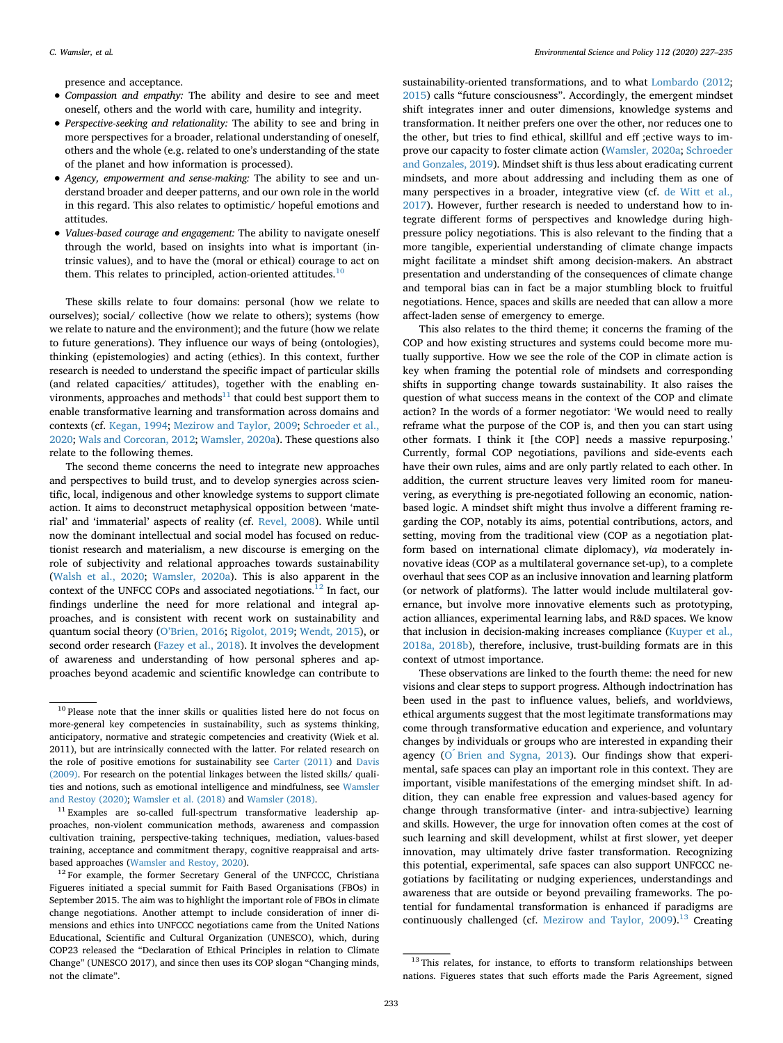presence and acceptance.

- *Compassion and empathy:* The ability and desire to see and meet oneself, others and the world with care, humility and integrity.
- *Perspective-seeking and relationality:* The ability to see and bring in more perspectives for a broader, relational understanding of oneself, others and the whole (e.g. related to one's understanding of the state of the planet and how information is processed).
- *Agency, empowerment and sense-making:* The ability to see and understand broader and deeper patterns, and our own role in the world in this regard. This also relates to optimistic/ hopeful emotions and attitudes.
- *Values-based courage and engagement:* The ability to navigate oneself through the world, based on insights into what is important (intrinsic values), and to have the (moral or ethical) courage to act on them. This relates to principled, action-oriented attitudes. $10$

These skills relate to four domains: personal (how we relate to ourselves); social/ collective (how we relate to others); systems (how we relate to nature and the environment); and the future (how we relate to future generations). They influence our ways of being (ontologies), thinking (epistemologies) and acting (ethics). In this context, further research is needed to understand the specific impact of particular skills (and related capacities/ attitudes), together with the enabling environments, approaches and methods $11$  that could best support them to enable transformative learning and transformation across domains and contexts (cf. [Kegan, 1994;](#page-8-26) [Mezirow and Taylor, 2009](#page-8-27); [Schroeder et al.,](#page-8-28) [2020;](#page-8-28) [Wals and Corcoran, 2012](#page-8-29); [Wamsler, 2020a\)](#page-8-12). These questions also relate to the following themes.

The second theme concerns the need to integrate new approaches and perspectives to build trust, and to develop synergies across scientific, local, indigenous and other knowledge systems to support climate action. It aims to deconstruct metaphysical opposition between 'material' and 'immaterial' aspects of reality (cf. [Revel, 2008\)](#page-8-30). While until now the dominant intellectual and social model has focused on reductionist research and materialism, a new discourse is emerging on the role of subjectivity and relational approaches towards sustainability ([Walsh et al., 2020;](#page-8-31) [Wamsler, 2020a](#page-8-12)). This is also apparent in the context of the UNFCC COPs and associated negotiations.<sup>12</sup> In fact, our findings underline the need for more relational and integral approaches, and is consistent with recent work on sustainability and quantum social theory ([O'Brien, 2016](#page-8-32); [Rigolot, 2019;](#page-8-33) [Wendt, 2015\)](#page-8-34), or second order research [\(Fazey et al., 2018\)](#page-7-0). It involves the development of awareness and understanding of how personal spheres and approaches beyond academic and scientific knowledge can contribute to

sustainability-oriented transformations, and to what [Lombardo \(2012](#page-8-35); [2015\)](#page-8-36) calls "future consciousness". Accordingly, the emergent mindset shift integrates inner and outer dimensions, knowledge systems and transformation. It neither prefers one over the other, nor reduces one to the other, but tries to find ethical, skillful and eff ;ective ways to improve our capacity to foster climate action ([Wamsler, 2020a;](#page-8-12) [Schroeder](#page-8-37) [and Gonzales, 2019](#page-8-37)). Mindset shift is thus less about eradicating current mindsets, and more about addressing and including them as one of many perspectives in a broader, integrative view (cf. [de Witt et al.,](#page-7-9) [2017\)](#page-7-9). However, further research is needed to understand how to integrate different forms of perspectives and knowledge during highpressure policy negotiations. This is also relevant to the finding that a more tangible, experiential understanding of climate change impacts might facilitate a mindset shift among decision-makers. An abstract presentation and understanding of the consequences of climate change and temporal bias can in fact be a major stumbling block to fruitful negotiations. Hence, spaces and skills are needed that can allow a more affect-laden sense of emergency to emerge.

This also relates to the third theme; it concerns the framing of the COP and how existing structures and systems could become more mutually supportive. How we see the role of the COP in climate action is key when framing the potential role of mindsets and corresponding shifts in supporting change towards sustainability. It also raises the question of what success means in the context of the COP and climate action? In the words of a former negotiator: 'We would need to really reframe what the purpose of the COP is, and then you can start using other formats. I think it [the COP] needs a massive repurposing.' Currently, formal COP negotiations, pavilions and side-events each have their own rules, aims and are only partly related to each other. In addition, the current structure leaves very limited room for maneuvering, as everything is pre-negotiated following an economic, nationbased logic. A mindset shift might thus involve a different framing regarding the COP, notably its aims, potential contributions, actors, and setting, moving from the traditional view (COP as a negotiation platform based on international climate diplomacy), *via* moderately innovative ideas (COP as a multilateral governance set-up), to a complete overhaul that sees COP as an inclusive innovation and learning platform (or network of platforms). The latter would include multilateral governance, but involve more innovative elements such as prototyping, action alliances, experimental learning labs, and R&D spaces. We know that inclusion in decision-making increases compliance [\(Kuyper et al.,](#page-8-1) [2018a, 2018b](#page-8-1)), therefore, inclusive, trust-building formats are in this context of utmost importance.

These observations are linked to the fourth theme: the need for new visions and clear steps to support progress. Although indoctrination has been used in the past to influence values, beliefs, and worldviews, ethical arguments suggest that the most legitimate transformations may come through transformative education and experience, and voluntary changes by individuals or groups who are interested in expanding their agency (O [Brien and Sygna, 2013\)](#page-8-38). Our findings show that experimental, safe spaces can play an important role in this context. They are important, visible manifestations of the emerging mindset shift. In addition, they can enable free expression and values-based agency for change through transformative (inter- and intra-subjective) learning and skills. However, the urge for innovation often comes at the cost of such learning and skill development, whilst at first slower, yet deeper innovation, may ultimately drive faster transformation. Recognizing this potential, experimental, safe spaces can also support UNFCCC negotiations by facilitating or nudging experiences, understandings and awareness that are outside or beyond prevailing frameworks. The potential for fundamental transformation is enhanced if paradigms are continuously challenged (cf. Mezirow and Taylor,  $2009$ ).<sup>[13](#page-6-3)</sup> Creating

<span id="page-6-0"></span><sup>&</sup>lt;sup>10</sup> Please note that the inner skills or qualities listed here do not focus on more-general key competencies in sustainability, such as systems thinking, anticipatory, normative and strategic competencies and creativity (Wiek et al. 2011), but are intrinsically connected with the latter. For related research on the role of positive emotions for sustainability see [Carter \(2011\)](#page-7-3) and [Davis](#page-7-10) [\(2009\)](#page-7-10). For research on the potential linkages between the listed skills/ qualities and notions, such as emotional intelligence and mindfulness, see [Wamsler](#page-8-34) [and Restoy \(2020\);](#page-8-34) [Wamsler et al. \(2018\)](#page-8-39) and [Wamsler \(2018\).](#page-8-25)

<span id="page-6-1"></span> $^{11}$  Examples are so-called full-spectrum transformative leadership approaches, non-violent communication methods, awareness and compassion cultivation training, perspective-taking techniques, mediation, values-based training, acceptance and commitment therapy, cognitive reappraisal and artsbased approaches [\(Wamsler and Restoy, 2020\)](#page-8-25).

<span id="page-6-2"></span><sup>&</sup>lt;sup>12</sup> For example, the former Secretary General of the UNFCCC, Christiana Figueres initiated a special summit for Faith Based Organisations (FBOs) in September 2015. The aim was to highlight the important role of FBOs in climate change negotiations. Another attempt to include consideration of inner dimensions and ethics into UNFCCC negotiations came from the United Nations Educational, Scientific and Cultural Organization (UNESCO), which, during COP23 released the "Declaration of Ethical Principles in relation to Climate Change" (UNESCO 2017), and since then uses its COP slogan "Changing minds, not the climate".

<span id="page-6-3"></span> $13$  This relates, for instance, to efforts to transform relationships between nations. Figueres states that such efforts made the Paris Agreement, signed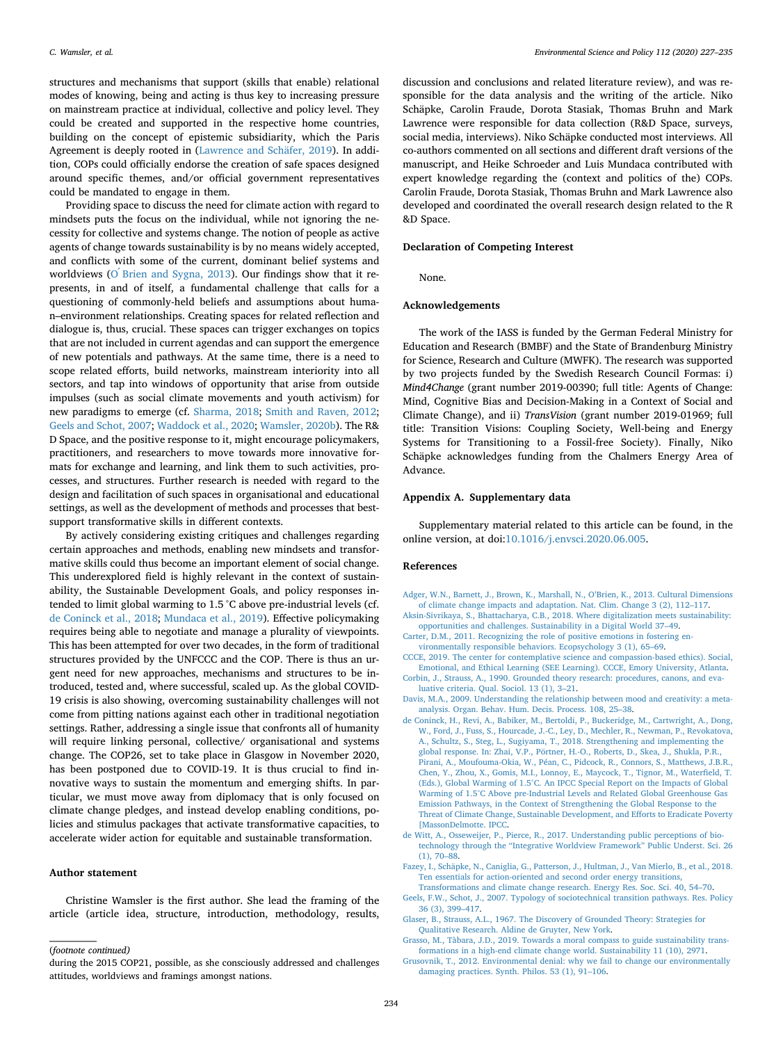structures and mechanisms that support (skills that enable) relational modes of knowing, being and acting is thus key to increasing pressure on mainstream practice at individual, collective and policy level. They could be created and supported in the respective home countries, building on the concept of epistemic subsidiarity, which the Paris Agreement is deeply rooted in [\(Lawrence and Schäfer, 2019\)](#page-8-22). In addition, COPs could officially endorse the creation of safe spaces designed around specific themes, and/or official government representatives could be mandated to engage in them.

Providing space to discuss the need for climate action with regard to mindsets puts the focus on the individual, while not ignoring the necessity for collective and systems change. The notion of people as active agents of change towards sustainability is by no means widely accepted, and conflicts with some of the current, dominant belief systems and worldviews ( $O$  [Brien and Sygna, 2013\)](#page-8-38). Our findings show that it represents, in and of itself, a fundamental challenge that calls for a questioning of commonly-held beliefs and assumptions about human–environment relationships. Creating spaces for related reflection and dialogue is, thus, crucial. These spaces can trigger exchanges on topics that are not included in current agendas and can support the emergence of new potentials and pathways. At the same time, there is a need to scope related efforts, build networks, mainstream interiority into all sectors, and tap into windows of opportunity that arise from outside impulses (such as social climate movements and youth activism) for new paradigms to emerge (cf. [Sharma, 2018](#page-8-39); [Smith and Raven, 2012](#page-8-40); [Geels and Schot, 2007](#page-7-11); [Waddock et al., 2020;](#page-8-41) [Wamsler, 2020b](#page-8-42)). The R& D Space, and the positive response to it, might encourage policymakers, practitioners, and researchers to move towards more innovative formats for exchange and learning, and link them to such activities, processes, and structures. Further research is needed with regard to the design and facilitation of such spaces in organisational and educational settings, as well as the development of methods and processes that bestsupport transformative skills in different contexts.

By actively considering existing critiques and challenges regarding certain approaches and methods, enabling new mindsets and transformative skills could thus become an important element of social change. This underexplored field is highly relevant in the context of sustainability, the Sustainable Development Goals, and policy responses intended to limit global warming to 1.5 °C above pre-industrial levels (cf. [de Coninck et al., 2018](#page-7-12); [Mundaca et al., 2019](#page-8-5)). Effective policymaking requires being able to negotiate and manage a plurality of viewpoints. This has been attempted for over two decades, in the form of traditional structures provided by the UNFCCC and the COP. There is thus an urgent need for new approaches, mechanisms and structures to be introduced, tested and, where successful, scaled up. As the global COVID-19 crisis is also showing, overcoming sustainability challenges will not come from pitting nations against each other in traditional negotiation settings. Rather, addressing a single issue that confronts all of humanity will require linking personal, collective/ organisational and systems change. The COP26, set to take place in Glasgow in November 2020, has been postponed due to COVID-19. It is thus crucial to find innovative ways to sustain the momentum and emerging shifts. In particular, we must move away from diplomacy that is only focused on climate change pledges, and instead develop enabling conditions, policies and stimulus packages that activate transformative capacities, to accelerate wider action for equitable and sustainable transformation.

# **Author statement**

Christine Wamsler is the first author. She lead the framing of the article (article idea, structure, introduction, methodology, results,

discussion and conclusions and related literature review), and was responsible for the data analysis and the writing of the article. Niko Schäpke, Carolin Fraude, Dorota Stasiak, Thomas Bruhn and Mark Lawrence were responsible for data collection (R&D Space, surveys, social media, interviews). Niko Schäpke conducted most interviews. All co-authors commented on all sections and different draft versions of the manuscript, and Heike Schroeder and Luis Mundaca contributed with expert knowledge regarding the (context and politics of the) COPs. Carolin Fraude, Dorota Stasiak, Thomas Bruhn and Mark Lawrence also developed and coordinated the overall research design related to the R &D Space.

#### **Declaration of Competing Interest**

None.

#### **Acknowledgements**

The work of the IASS is funded by the German Federal Ministry for Education and Research (BMBF) and the State of Brandenburg Ministry for Science, Research and Culture (MWFK). The research was supported by two projects funded by the Swedish Research Council Formas: i) *Mind4Change* (grant number 2019-00390; full title: Agents of Change: Mind, Cognitive Bias and Decision-Making in a Context of Social and Climate Change), and ii) *TransVision* (grant number 2019-01969; full title: Transition Visions: Coupling Society, Well-being and Energy Systems for Transitioning to a Fossil-free Society). Finally, Niko Schäpke acknowledges funding from the Chalmers Energy Area of Advance.

#### **Appendix A. Supplementary data**

Supplementary material related to this article can be found, in the online version, at doi:[10.1016/j.envsci.2020.06.005](http://doi.org/10.1016/j.envsci.2020.06.005).

## **References**

- <span id="page-7-1"></span>[Adger, W.N., Barnett, J., Brown, K., Marshall, N., O'Brien, K., 2013. Cultural Dimensions](http://refhub.elsevier.com/S1462-9011(20)30470-6/sbref0005) [of climate change impacts and adaptation. Nat. Clim. Change 3 \(2\), 112–117.](http://refhub.elsevier.com/S1462-9011(20)30470-6/sbref0005)
- <span id="page-7-7"></span>[Aksin-Sivrikaya, S., Bhattacharya, C.B., 2018. Where digitalization meets sustainability:](http://refhub.elsevier.com/S1462-9011(20)30470-6/sbref0010) [opportunities and challenges. Sustainability in a Digital World 37–49](http://refhub.elsevier.com/S1462-9011(20)30470-6/sbref0010).
- <span id="page-7-3"></span>[Carter, D.M., 2011. Recognizing the role of positive emotions in fostering en](http://refhub.elsevier.com/S1462-9011(20)30470-6/sbref0015)[vironmentally responsible behaviors. Ecopsychology 3 \(1\), 65–69](http://refhub.elsevier.com/S1462-9011(20)30470-6/sbref0015).
- <span id="page-7-8"></span>[CCCE, 2019. The center for contemplative science and compassion-based ethics\). Social,](http://refhub.elsevier.com/S1462-9011(20)30470-6/sbref0020) [Emotional, and Ethical Learning \(SEE Learning\). CCCE, Emory University, Atlanta.](http://refhub.elsevier.com/S1462-9011(20)30470-6/sbref0020) [Corbin, J., Strauss, A., 1990. Grounded theory research: procedures, canons, and eva-](http://refhub.elsevier.com/S1462-9011(20)30470-6/sbref0025)
- <span id="page-7-5"></span>[luative criteria. Qual. Sociol. 13 \(1\), 3–21](http://refhub.elsevier.com/S1462-9011(20)30470-6/sbref0025).
- <span id="page-7-10"></span>[Davis, M.A., 2009. Understanding the relationship between mood and creativity: a meta](http://refhub.elsevier.com/S1462-9011(20)30470-6/sbref0030)[analysis. Organ. Behav. Hum. Decis. Process. 108, 25–38.](http://refhub.elsevier.com/S1462-9011(20)30470-6/sbref0030)
- <span id="page-7-12"></span>[de Coninck, H., Revi, A., Babiker, M., Bertoldi, P., Buckeridge, M., Cartwright, A., Dong,](http://refhub.elsevier.com/S1462-9011(20)30470-6/sbref0035) [W., Ford, J., Fuss, S., Hourcade, J.-C., Ley, D., Mechler, R., Newman, P., Revokatova,](http://refhub.elsevier.com/S1462-9011(20)30470-6/sbref0035) [A., Schultz, S., Steg, L., Sugiyama, T., 2018. Strengthening and implementing the](http://refhub.elsevier.com/S1462-9011(20)30470-6/sbref0035) [global response. In: Zhai, V.P., Pörtner, H.-O., Roberts, D., Skea, J., Shukla, P.R.,](http://refhub.elsevier.com/S1462-9011(20)30470-6/sbref0035) [Pirani, A., Moufouma-Okia, W., Péan, C., Pidcock, R., Connors, S., Matthews, J.B.R.,](http://refhub.elsevier.com/S1462-9011(20)30470-6/sbref0035) [Chen, Y., Zhou, X., Gomis, M.I., Lonnoy, E., Maycock, T., Tignor, M., Waterfield, T.](http://refhub.elsevier.com/S1462-9011(20)30470-6/sbref0035) [\(Eds.\), Global Warming of 1.5°C. An IPCC Special Report on the Impacts of Global](http://refhub.elsevier.com/S1462-9011(20)30470-6/sbref0035) [Warming of 1.5°C Above pre-Industrial Levels and Related Global Greenhouse Gas](http://refhub.elsevier.com/S1462-9011(20)30470-6/sbref0035) [Emission Pathways, in the Context of Strengthening the Global Response to the](http://refhub.elsevier.com/S1462-9011(20)30470-6/sbref0035) [Threat of Climate Change, Sustainable Development, and Efforts to Eradicate Poverty](http://refhub.elsevier.com/S1462-9011(20)30470-6/sbref0035) [\[MassonDelmotte. IPCC.](http://refhub.elsevier.com/S1462-9011(20)30470-6/sbref0035)
- <span id="page-7-9"></span>[de Witt, A., Osseweijer, P., Pierce, R., 2017. Understanding public perceptions of bio](http://refhub.elsevier.com/S1462-9011(20)30470-6/sbref0040)[technology through the "Integrative Worldview Framework" Public Underst. Sci. 26](http://refhub.elsevier.com/S1462-9011(20)30470-6/sbref0040) [\(1\), 70–88](http://refhub.elsevier.com/S1462-9011(20)30470-6/sbref0040).
- <span id="page-7-0"></span>[Fazey, I., Schäpke, N., Caniglia, G., Patterson, J., Hultman, J., Van Mierlo, B., et al., 2018.](http://refhub.elsevier.com/S1462-9011(20)30470-6/sbref0045) Ten essentials for action-oriented and second order energy transitions [Transformations and climate change research. Energy Res. Soc. Sci. 40, 54–70.](http://refhub.elsevier.com/S1462-9011(20)30470-6/sbref0045)
- <span id="page-7-11"></span>[Geels, F.W., Schot, J., 2007. Typology of sociotechnical transition pathways. Res. Policy](http://refhub.elsevier.com/S1462-9011(20)30470-6/sbref0050) [36 \(3\), 399–417.](http://refhub.elsevier.com/S1462-9011(20)30470-6/sbref0050)
- <span id="page-7-6"></span>[Glaser, B., Strauss, A.L., 1967. The Discovery of Grounded Theory: Strategies for](http://refhub.elsevier.com/S1462-9011(20)30470-6/sbref0055) [Qualitative Research. Aldine de Gruyter, New York.](http://refhub.elsevier.com/S1462-9011(20)30470-6/sbref0055)
- <span id="page-7-4"></span>[Grasso, M., Tàbara, J.D., 2019. Towards a moral compass to guide sustainability trans](http://refhub.elsevier.com/S1462-9011(20)30470-6/sbref0060)[formations in a high-end climate change world. Sustainability 11 \(10\), 2971.](http://refhub.elsevier.com/S1462-9011(20)30470-6/sbref0060)
- <span id="page-7-2"></span>[Grusovnik, T., 2012. Environmental denial: why we fail to change our environmentally](http://refhub.elsevier.com/S1462-9011(20)30470-6/sbref0065) [damaging practices. Synth. Philos. 53 \(1\), 91–106](http://refhub.elsevier.com/S1462-9011(20)30470-6/sbref0065).

<sup>(</sup>*footnote continued)*

during the 2015 COP21, possible, as she consciously addressed and challenges attitudes, worldviews and framings amongst nations.